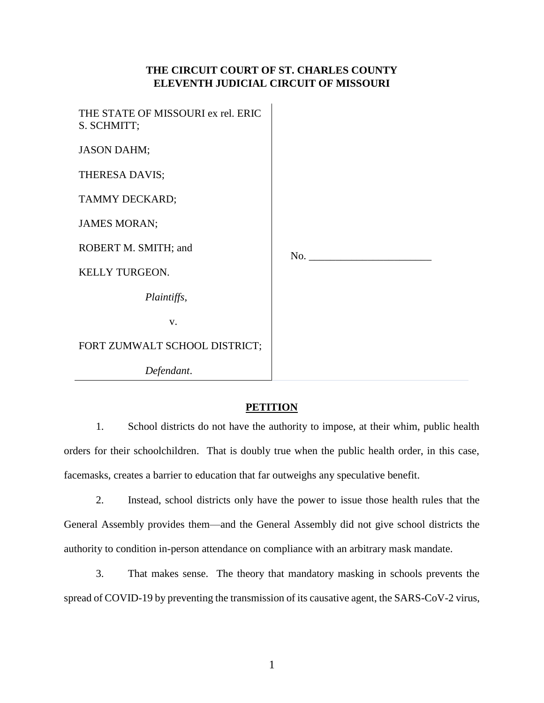# **THE CIRCUIT COURT OF ST. CHARLES COUNTY ELEVENTH JUDICIAL CIRCUIT OF MISSOURI**

| THE STATE OF MISSOURI ex rel. ERIC<br>S. SCHMITT; |     |
|---------------------------------------------------|-----|
| <b>JASON DAHM;</b>                                |     |
| THERESA DAVIS;                                    |     |
| TAMMY DECKARD;                                    |     |
| <b>JAMES MORAN;</b>                               |     |
| ROBERT M. SMITH; and                              | No. |
| KELLY TURGEON.                                    |     |
| Plaintiffs,                                       |     |
| V.                                                |     |
| FORT ZUMWALT SCHOOL DISTRICT;                     |     |
| Defendant.                                        |     |

# **PETITION**

1. School districts do not have the authority to impose, at their whim, public health orders for their schoolchildren. That is doubly true when the public health order, in this case, facemasks, creates a barrier to education that far outweighs any speculative benefit.

2. Instead, school districts only have the power to issue those health rules that the General Assembly provides them—and the General Assembly did not give school districts the authority to condition in-person attendance on compliance with an arbitrary mask mandate.

3. That makes sense. The theory that mandatory masking in schools prevents the spread of COVID-19 by preventing the transmission of its causative agent, the SARS-CoV-2 virus,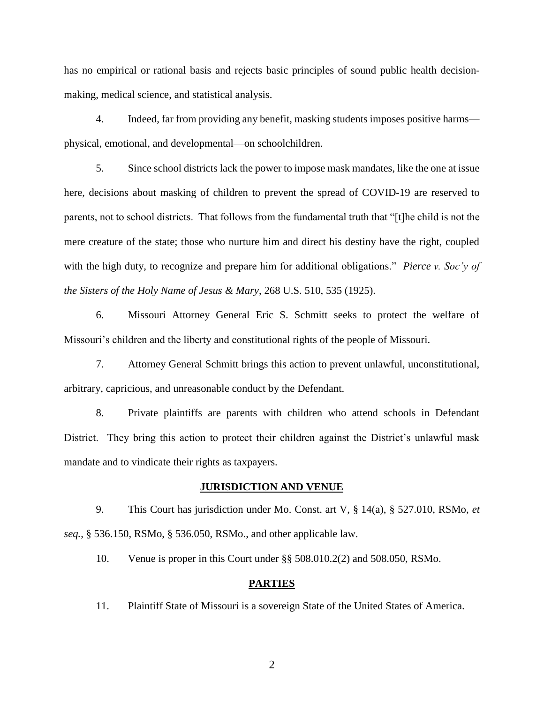has no empirical or rational basis and rejects basic principles of sound public health decisionmaking, medical science, and statistical analysis.

4. Indeed, far from providing any benefit, masking students imposes positive harms physical, emotional, and developmental—on schoolchildren.

5. Since school districts lack the power to impose mask mandates, like the one at issue here, decisions about masking of children to prevent the spread of COVID-19 are reserved to parents, not to school districts. That follows from the fundamental truth that "[t]he child is not the mere creature of the state; those who nurture him and direct his destiny have the right, coupled with the high duty, to recognize and prepare him for additional obligations." *Pierce v. Soc'y of the Sisters of the Holy Name of Jesus & Mary*, 268 U.S. 510, 535 (1925).

6. Missouri Attorney General Eric S. Schmitt seeks to protect the welfare of Missouri's children and the liberty and constitutional rights of the people of Missouri.

7. Attorney General Schmitt brings this action to prevent unlawful, unconstitutional, arbitrary, capricious, and unreasonable conduct by the Defendant.

8. Private plaintiffs are parents with children who attend schools in Defendant District. They bring this action to protect their children against the District's unlawful mask mandate and to vindicate their rights as taxpayers.

#### **JURISDICTION AND VENUE**

9. This Court has jurisdiction under Mo. Const. art V, § 14(a), § 527.010, RSMo, *et seq.*, § 536.150, RSMo, § 536.050, RSMo., and other applicable law.

10. Venue is proper in this Court under §§ 508.010.2(2) and 508.050, RSMo.

## **PARTIES**

11. Plaintiff State of Missouri is a sovereign State of the United States of America.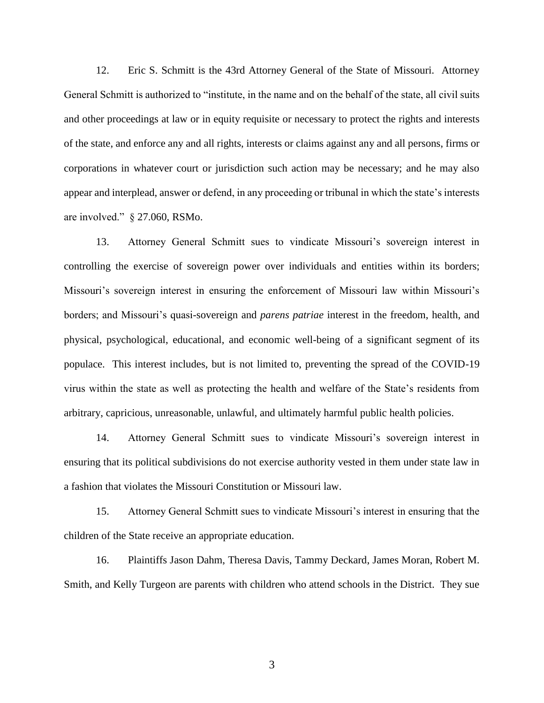12. Eric S. Schmitt is the 43rd Attorney General of the State of Missouri. Attorney General Schmitt is authorized to "institute, in the name and on the behalf of the state, all civil suits and other proceedings at law or in equity requisite or necessary to protect the rights and interests of the state, and enforce any and all rights, interests or claims against any and all persons, firms or corporations in whatever court or jurisdiction such action may be necessary; and he may also appear and interplead, answer or defend, in any proceeding or tribunal in which the state's interests are involved." § 27.060, RSMo.

13. Attorney General Schmitt sues to vindicate Missouri's sovereign interest in controlling the exercise of sovereign power over individuals and entities within its borders; Missouri's sovereign interest in ensuring the enforcement of Missouri law within Missouri's borders; and Missouri's quasi-sovereign and *parens patriae* interest in the freedom, health, and physical, psychological, educational, and economic well-being of a significant segment of its populace. This interest includes, but is not limited to, preventing the spread of the COVID-19 virus within the state as well as protecting the health and welfare of the State's residents from arbitrary, capricious, unreasonable, unlawful, and ultimately harmful public health policies.

14. Attorney General Schmitt sues to vindicate Missouri's sovereign interest in ensuring that its political subdivisions do not exercise authority vested in them under state law in a fashion that violates the Missouri Constitution or Missouri law.

15. Attorney General Schmitt sues to vindicate Missouri's interest in ensuring that the children of the State receive an appropriate education.

16. Plaintiffs Jason Dahm, Theresa Davis, Tammy Deckard, James Moran, Robert M. Smith, and Kelly Turgeon are parents with children who attend schools in the District. They sue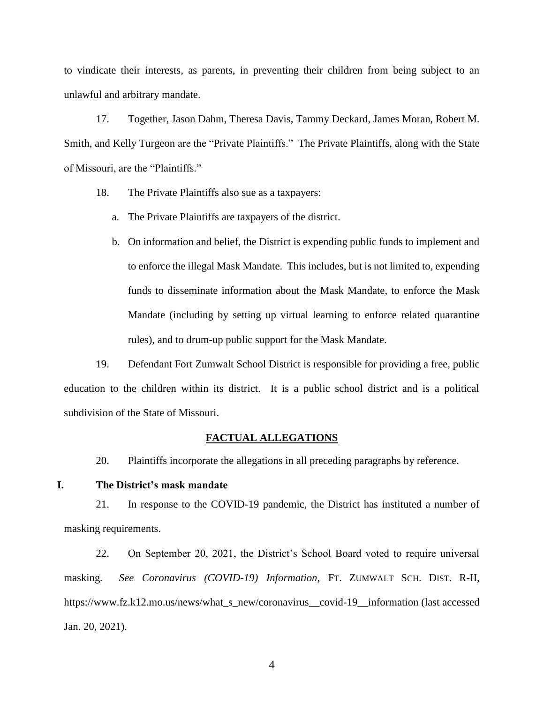to vindicate their interests, as parents, in preventing their children from being subject to an unlawful and arbitrary mandate.

17. Together, Jason Dahm, Theresa Davis, Tammy Deckard, James Moran, Robert M. Smith, and Kelly Turgeon are the "Private Plaintiffs." The Private Plaintiffs, along with the State of Missouri, are the "Plaintiffs."

- 18. The Private Plaintiffs also sue as a taxpayers:
	- a. The Private Plaintiffs are taxpayers of the district.
	- b. On information and belief, the District is expending public funds to implement and to enforce the illegal Mask Mandate. This includes, but is not limited to, expending funds to disseminate information about the Mask Mandate, to enforce the Mask Mandate (including by setting up virtual learning to enforce related quarantine rules), and to drum-up public support for the Mask Mandate.

19. Defendant Fort Zumwalt School District is responsible for providing a free, public education to the children within its district. It is a public school district and is a political subdivision of the State of Missouri.

#### **FACTUAL ALLEGATIONS**

20. Plaintiffs incorporate the allegations in all preceding paragraphs by reference.

## **I. The District's mask mandate**

21. In response to the COVID-19 pandemic, the District has instituted a number of masking requirements.

22. On September 20, 2021, the District's School Board voted to require universal masking. *See Coronavirus (COVID-19) Information*, FT. ZUMWALT SCH. DIST. R-II, https://www.fz.k12.mo.us/news/what\_s\_new/coronavirus\_covid-19\_\_information (last accessed Jan. 20, 2021).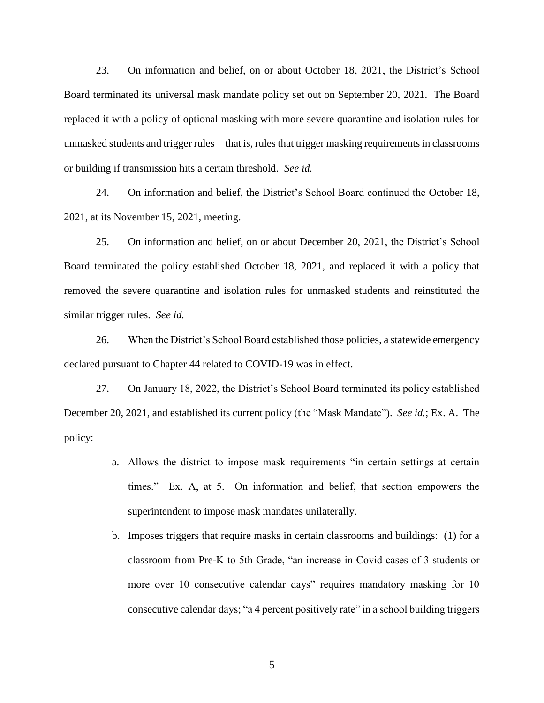23. On information and belief, on or about October 18, 2021, the District's School Board terminated its universal mask mandate policy set out on September 20, 2021. The Board replaced it with a policy of optional masking with more severe quarantine and isolation rules for unmasked students and trigger rules—that is, rules that trigger masking requirements in classrooms or building if transmission hits a certain threshold. *See id.*

24. On information and belief, the District's School Board continued the October 18, 2021, at its November 15, 2021, meeting.

25. On information and belief, on or about December 20, 2021, the District's School Board terminated the policy established October 18, 2021, and replaced it with a policy that removed the severe quarantine and isolation rules for unmasked students and reinstituted the similar trigger rules. *See id.*

26. When the District's School Board established those policies, a statewide emergency declared pursuant to Chapter 44 related to COVID-19 was in effect.

27. On January 18, 2022, the District's School Board terminated its policy established December 20, 2021, and established its current policy (the "Mask Mandate"). *See id.*; Ex. A. The policy:

- a. Allows the district to impose mask requirements "in certain settings at certain times." Ex. A, at 5. On information and belief, that section empowers the superintendent to impose mask mandates unilaterally.
- b. Imposes triggers that require masks in certain classrooms and buildings: (1) for a classroom from Pre-K to 5th Grade, "an increase in Covid cases of 3 students or more over 10 consecutive calendar days" requires mandatory masking for 10 consecutive calendar days; "a 4 percent positively rate" in a school building triggers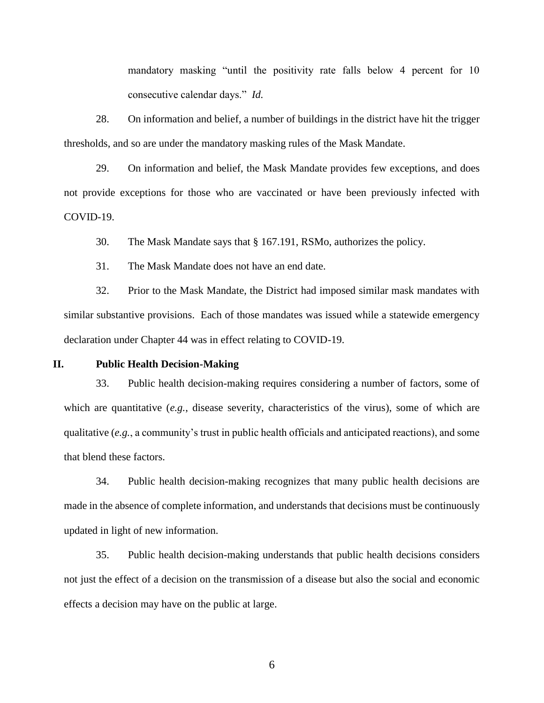mandatory masking "until the positivity rate falls below 4 percent for 10 consecutive calendar days." *Id.*

28. On information and belief, a number of buildings in the district have hit the trigger thresholds, and so are under the mandatory masking rules of the Mask Mandate.

29. On information and belief, the Mask Mandate provides few exceptions, and does not provide exceptions for those who are vaccinated or have been previously infected with COVID-19.

30. The Mask Mandate says that § 167.191, RSMo, authorizes the policy.

31. The Mask Mandate does not have an end date.

32. Prior to the Mask Mandate, the District had imposed similar mask mandates with similar substantive provisions. Each of those mandates was issued while a statewide emergency declaration under Chapter 44 was in effect relating to COVID-19.

## **II. Public Health Decision-Making**

33. Public health decision-making requires considering a number of factors, some of which are quantitative (*e.g.*, disease severity, characteristics of the virus), some of which are qualitative (*e.g.*, a community's trust in public health officials and anticipated reactions), and some that blend these factors.

34. Public health decision-making recognizes that many public health decisions are made in the absence of complete information, and understands that decisions must be continuously updated in light of new information.

35. Public health decision-making understands that public health decisions considers not just the effect of a decision on the transmission of a disease but also the social and economic effects a decision may have on the public at large.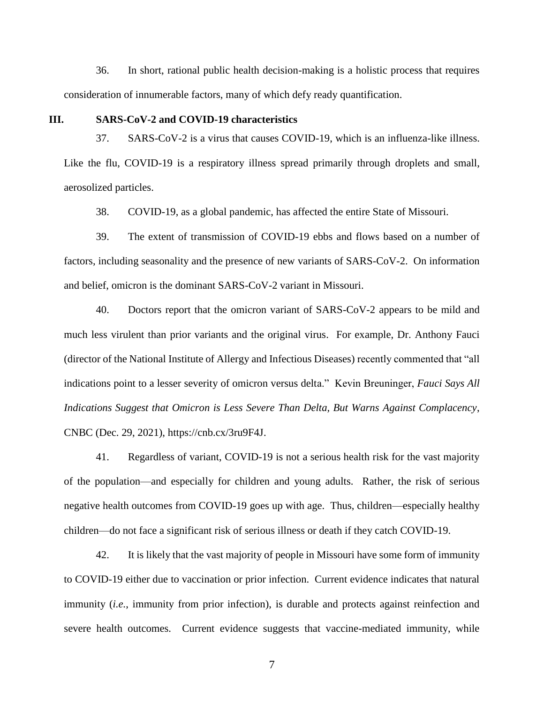36. In short, rational public health decision-making is a holistic process that requires consideration of innumerable factors, many of which defy ready quantification.

#### **III. SARS-CoV-2 and COVID-19 characteristics**

37. SARS-CoV-2 is a virus that causes COVID-19, which is an influenza-like illness. Like the flu, COVID-19 is a respiratory illness spread primarily through droplets and small, aerosolized particles.

38. COVID-19, as a global pandemic, has affected the entire State of Missouri.

39. The extent of transmission of COVID-19 ebbs and flows based on a number of factors, including seasonality and the presence of new variants of SARS-CoV-2. On information and belief, omicron is the dominant SARS-CoV-2 variant in Missouri.

40. Doctors report that the omicron variant of SARS-CoV-2 appears to be mild and much less virulent than prior variants and the original virus. For example, Dr. Anthony Fauci (director of the National Institute of Allergy and Infectious Diseases) recently commented that "all indications point to a lesser severity of omicron versus delta." Kevin Breuninger, *Fauci Says All Indications Suggest that Omicron is Less Severe Than Delta, But Warns Against Complacency*, CNBC (Dec. 29, 2021), https://cnb.cx/3ru9F4J.

41. Regardless of variant, COVID-19 is not a serious health risk for the vast majority of the population—and especially for children and young adults. Rather, the risk of serious negative health outcomes from COVID-19 goes up with age. Thus, children—especially healthy children—do not face a significant risk of serious illness or death if they catch COVID-19.

42. It is likely that the vast majority of people in Missouri have some form of immunity to COVID-19 either due to vaccination or prior infection. Current evidence indicates that natural immunity (*i.e.*, immunity from prior infection), is durable and protects against reinfection and severe health outcomes. Current evidence suggests that vaccine-mediated immunity, while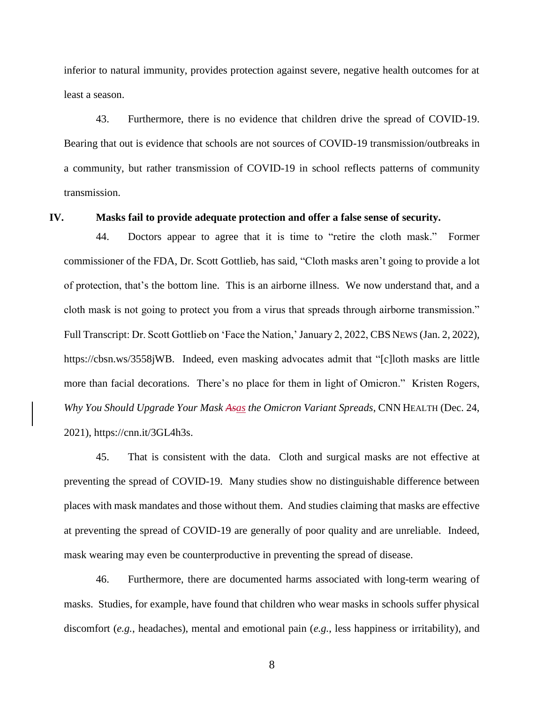inferior to natural immunity, provides protection against severe, negative health outcomes for at least a season.

43. Furthermore, there is no evidence that children drive the spread of COVID-19. Bearing that out is evidence that schools are not sources of COVID-19 transmission/outbreaks in a community, but rather transmission of COVID-19 in school reflects patterns of community transmission.

#### **IV. Masks fail to provide adequate protection and offer a false sense of security.**

44. Doctors appear to agree that it is time to "retire the cloth mask." Former commissioner of the FDA, Dr. Scott Gottlieb, has said, "Cloth masks aren't going to provide a lot of protection, that's the bottom line. This is an airborne illness. We now understand that, and a cloth mask is not going to protect you from a virus that spreads through airborne transmission." Full Transcript: Dr. Scott Gottlieb on 'Face the Nation,' January 2, 2022, CBS NEWS (Jan. 2, 2022), https://cbsn.ws/3558jWB. Indeed, even masking advocates admit that "[c]loth masks are little more than facial decorations. There's no place for them in light of Omicron." Kristen Rogers, *Why You Should Upgrade Your Mask Asas the Omicron Variant Spreads*, CNN HEALTH (Dec. 24, 2021), https://cnn.it/3GL4h3s.

45. That is consistent with the data. Cloth and surgical masks are not effective at preventing the spread of COVID-19. Many studies show no distinguishable difference between places with mask mandates and those without them. And studies claiming that masks are effective at preventing the spread of COVID-19 are generally of poor quality and are unreliable. Indeed, mask wearing may even be counterproductive in preventing the spread of disease.

46. Furthermore, there are documented harms associated with long-term wearing of masks. Studies, for example, have found that children who wear masks in schools suffer physical discomfort (*e.g.*, headaches), mental and emotional pain (*e.g.*, less happiness or irritability), and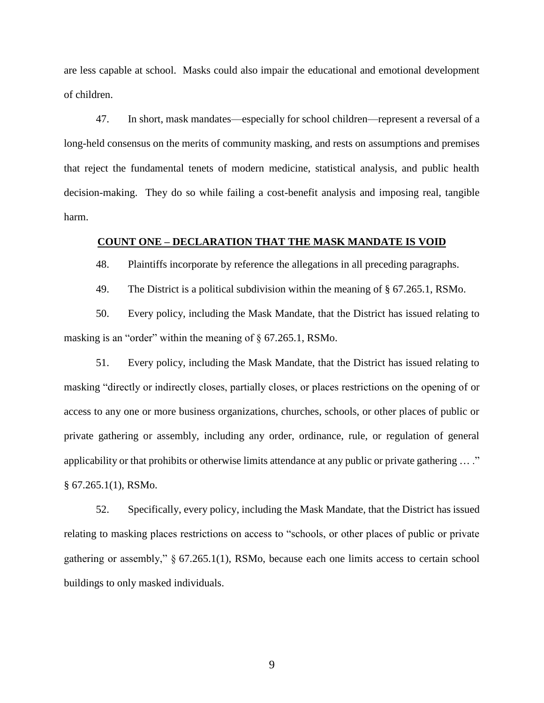are less capable at school. Masks could also impair the educational and emotional development of children.

47. In short, mask mandates—especially for school children—represent a reversal of a long-held consensus on the merits of community masking, and rests on assumptions and premises that reject the fundamental tenets of modern medicine, statistical analysis, and public health decision-making. They do so while failing a cost-benefit analysis and imposing real, tangible harm.

## **COUNT ONE – DECLARATION THAT THE MASK MANDATE IS VOID**

48. Plaintiffs incorporate by reference the allegations in all preceding paragraphs.

49. The District is a political subdivision within the meaning of § 67.265.1, RSMo.

50. Every policy, including the Mask Mandate, that the District has issued relating to masking is an "order" within the meaning of § 67.265.1, RSMo.

51. Every policy, including the Mask Mandate, that the District has issued relating to masking "directly or indirectly closes, partially closes, or places restrictions on the opening of or access to any one or more business organizations, churches, schools, or other places of public or private gathering or assembly, including any order, ordinance, rule, or regulation of general applicability or that prohibits or otherwise limits attendance at any public or private gathering ... ." § 67.265.1(1), RSMo.

52. Specifically, every policy, including the Mask Mandate, that the District has issued relating to masking places restrictions on access to "schools, or other places of public or private gathering or assembly," § 67.265.1(1), RSMo, because each one limits access to certain school buildings to only masked individuals.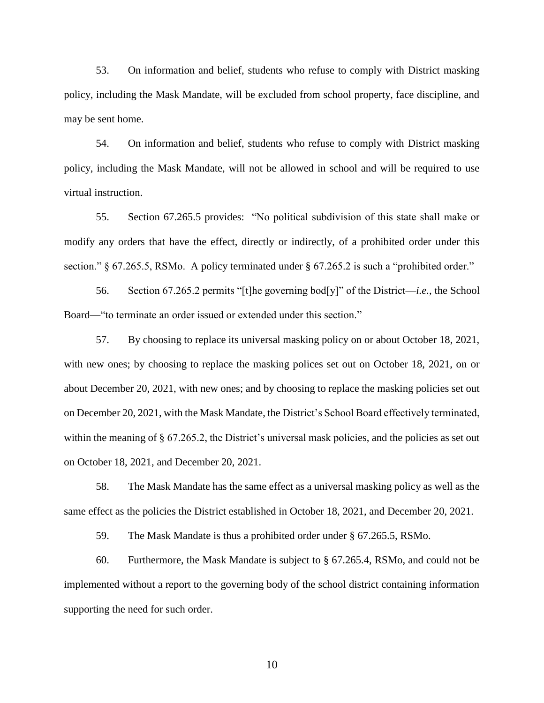53. On information and belief, students who refuse to comply with District masking policy, including the Mask Mandate, will be excluded from school property, face discipline, and may be sent home.

54. On information and belief, students who refuse to comply with District masking policy, including the Mask Mandate, will not be allowed in school and will be required to use virtual instruction.

55. Section 67.265.5 provides: "No political subdivision of this state shall make or modify any orders that have the effect, directly or indirectly, of a prohibited order under this section." § 67.265.5, RSMo. A policy terminated under § 67.265.2 is such a "prohibited order."

56. Section 67.265.2 permits "[t]he governing bod[y]" of the District—*i.e.*, the School Board—"to terminate an order issued or extended under this section."

57. By choosing to replace its universal masking policy on or about October 18, 2021, with new ones; by choosing to replace the masking polices set out on October 18, 2021, on or about December 20, 2021, with new ones; and by choosing to replace the masking policies set out on December 20, 2021, with the Mask Mandate, the District's School Board effectively terminated, within the meaning of § 67.265.2, the District's universal mask policies, and the policies as set out on October 18, 2021, and December 20, 2021.

58. The Mask Mandate has the same effect as a universal masking policy as well as the same effect as the policies the District established in October 18, 2021, and December 20, 2021.

59. The Mask Mandate is thus a prohibited order under § 67.265.5, RSMo.

60. Furthermore, the Mask Mandate is subject to § 67.265.4, RSMo, and could not be implemented without a report to the governing body of the school district containing information supporting the need for such order.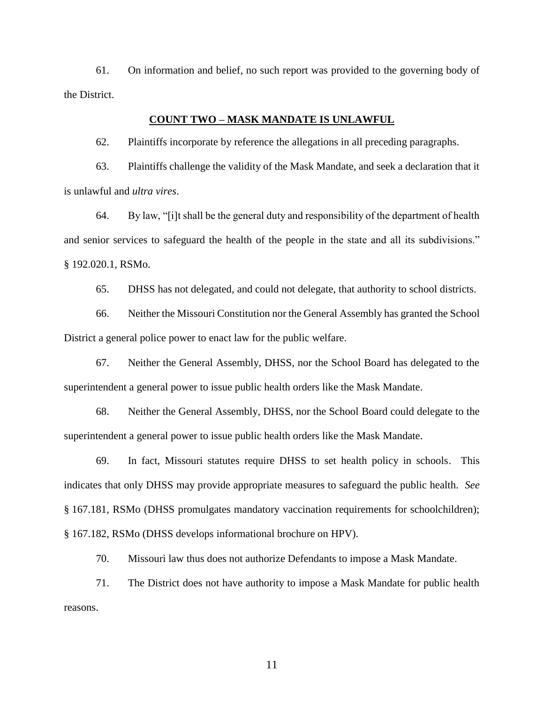61. On information and belief, no such report was provided to the governing body of the District.

## **COUNT TWO – MASK MANDATE IS UNLAWFUL**

62. Plaintiffs incorporate by reference the allegations in all preceding paragraphs.

63. Plaintiffs challenge the validity of the Mask Mandate, and seek a declaration that it is unlawful and *ultra vires*.

64. By law, "[i]t shall be the general duty and responsibility of the department of health and senior services to safeguard the health of the people in the state and all its subdivisions." § 192.020.1, RSMo.

65. DHSS has not delegated, and could not delegate, that authority to school districts.

66. Neither the Missouri Constitution nor the General Assembly has granted the School District a general police power to enact law for the public welfare.

67. Neither the General Assembly, DHSS, nor the School Board has delegated to the superintendent a general power to issue public health orders like the Mask Mandate.

68. Neither the General Assembly, DHSS, nor the School Board could delegate to the superintendent a general power to issue public health orders like the Mask Mandate.

69. In fact, Missouri statutes require DHSS to set health policy in schools. This indicates that only DHSS may provide appropriate measures to safeguard the public health. *See*  § 167.181, RSMo (DHSS promulgates mandatory vaccination requirements for schoolchildren); § 167.182, RSMo (DHSS develops informational brochure on HPV).

70. Missouri law thus does not authorize Defendants to impose a Mask Mandate.

71. The District does not have authority to impose a Mask Mandate for public health reasons.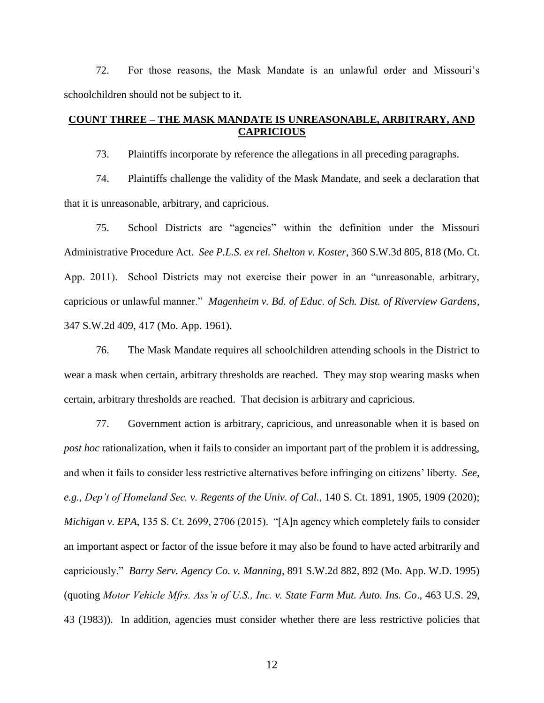72. For those reasons, the Mask Mandate is an unlawful order and Missouri's schoolchildren should not be subject to it.

## **COUNT THREE – THE MASK MANDATE IS UNREASONABLE, ARBITRARY, AND CAPRICIOUS**

73. Plaintiffs incorporate by reference the allegations in all preceding paragraphs.

74. Plaintiffs challenge the validity of the Mask Mandate, and seek a declaration that that it is unreasonable, arbitrary, and capricious.

75. School Districts are "agencies" within the definition under the Missouri Administrative Procedure Act. *See P.L.S. ex rel. Shelton v. Koster*, 360 S.W.3d 805, 818 (Mo. Ct. App. 2011). School Districts may not exercise their power in an "unreasonable, arbitrary, capricious or unlawful manner." *Magenheim v. Bd. of Educ. of Sch. Dist. of Riverview Gardens*, 347 S.W.2d 409, 417 (Mo. App. 1961).

76. The Mask Mandate requires all schoolchildren attending schools in the District to wear a mask when certain, arbitrary thresholds are reached. They may stop wearing masks when certain, arbitrary thresholds are reached. That decision is arbitrary and capricious.

77. Government action is arbitrary, capricious, and unreasonable when it is based on *post hoc* rationalization, when it fails to consider an important part of the problem it is addressing, and when it fails to consider less restrictive alternatives before infringing on citizens' liberty. *See*, *e.g.*, *Dep't of Homeland Sec. v. Regents of the Univ. of Cal.*, 140 S. Ct. 1891, 1905, 1909 (2020); *Michigan v. EPA*, 135 S. Ct. 2699, 2706 (2015). "[A]n agency which completely fails to consider an important aspect or factor of the issue before it may also be found to have acted arbitrarily and capriciously." *Barry Serv. Agency Co. v. Manning*, 891 S.W.2d 882, 892 (Mo. App. W.D. 1995) (quoting *Motor Vehicle Mfrs. Ass'n of U.S., Inc. v. State Farm Mut. Auto. Ins. Co*., 463 U.S. 29, 43 (1983)). In addition, agencies must consider whether there are less restrictive policies that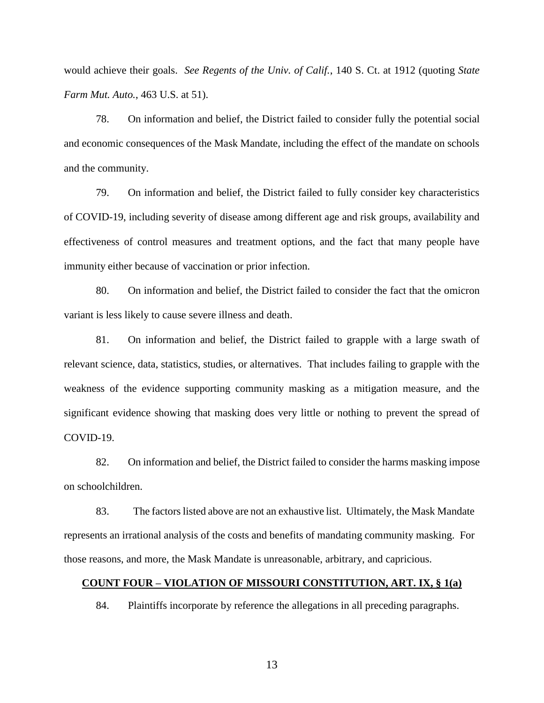would achieve their goals. *See Regents of the Univ. of Calif.*, 140 S. Ct. at 1912 (quoting *State Farm Mut. Auto.*, 463 U.S. at 51).

78. On information and belief, the District failed to consider fully the potential social and economic consequences of the Mask Mandate, including the effect of the mandate on schools and the community.

79. On information and belief, the District failed to fully consider key characteristics of COVID-19, including severity of disease among different age and risk groups, availability and effectiveness of control measures and treatment options, and the fact that many people have immunity either because of vaccination or prior infection.

80. On information and belief, the District failed to consider the fact that the omicron variant is less likely to cause severe illness and death.

81. On information and belief, the District failed to grapple with a large swath of relevant science, data, statistics, studies, or alternatives. That includes failing to grapple with the weakness of the evidence supporting community masking as a mitigation measure, and the significant evidence showing that masking does very little or nothing to prevent the spread of COVID-19.

82. On information and belief, the District failed to consider the harms masking impose on schoolchildren.

83. The factors listed above are not an exhaustive list. Ultimately, the Mask Mandate represents an irrational analysis of the costs and benefits of mandating community masking. For those reasons, and more, the Mask Mandate is unreasonable, arbitrary, and capricious.

## **COUNT FOUR – VIOLATION OF MISSOURI CONSTITUTION, ART. IX, § 1(a)**

84. Plaintiffs incorporate by reference the allegations in all preceding paragraphs.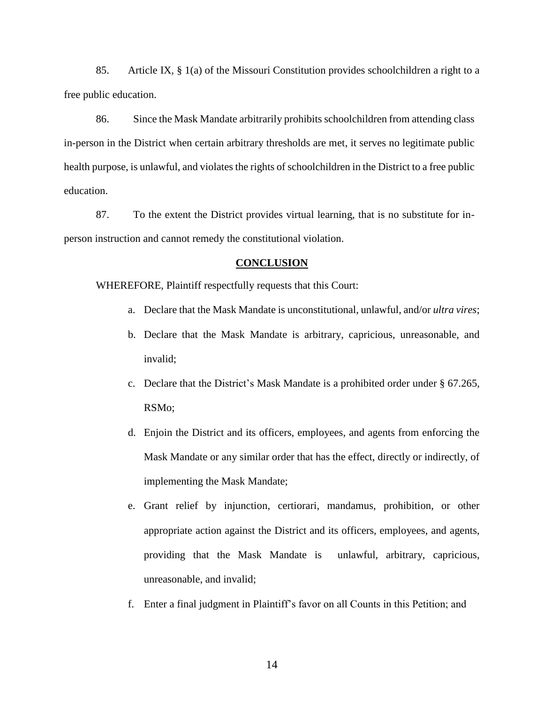85. Article IX, § 1(a) of the Missouri Constitution provides schoolchildren a right to a free public education.

86. Since the Mask Mandate arbitrarily prohibits schoolchildren from attending class in-person in the District when certain arbitrary thresholds are met, it serves no legitimate public health purpose, is unlawful, and violates the rights of schoolchildren in the District to a free public education.

87. To the extent the District provides virtual learning, that is no substitute for inperson instruction and cannot remedy the constitutional violation.

#### **CONCLUSION**

WHEREFORE, Plaintiff respectfully requests that this Court:

- a. Declare that the Mask Mandate is unconstitutional, unlawful, and/or *ultra vires*;
- b. Declare that the Mask Mandate is arbitrary, capricious, unreasonable, and invalid;
- c. Declare that the District's Mask Mandate is a prohibited order under § 67.265, RSMo;
- d. Enjoin the District and its officers, employees, and agents from enforcing the Mask Mandate or any similar order that has the effect, directly or indirectly, of implementing the Mask Mandate;
- e. Grant relief by injunction, certiorari, mandamus, prohibition, or other appropriate action against the District and its officers, employees, and agents, providing that the Mask Mandate is unlawful, arbitrary, capricious, unreasonable, and invalid;
- f. Enter a final judgment in Plaintiff's favor on all Counts in this Petition; and